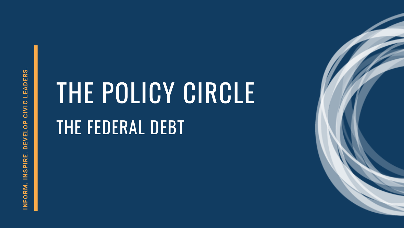NFORM. INSPIRE. DEVELOP CIVIC LEADERS. **INFORM. INSPIRE. DEVELOP CIVIC LEADERS.**

# THE POLICY CIRCLE THE FEDERAL DEBT

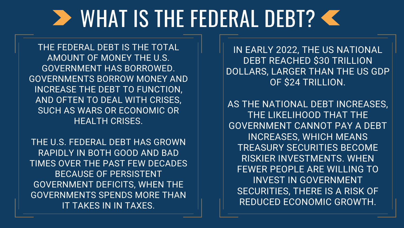### **> WHAT IS THE FEDERAL DEBT?**

THE FEDERAL DEBT IS THE TOTAL AMOUNT OF MONEY THE U.S. GOVERNMENT HAS BORROWED. GOVERNMENTS BORROW MONEY AND INCREASE THE DEBT TO FUNCTION, AND OFTEN TO DEAL WITH CRISES, SUCH AS WARS OR ECONOMIC OR HEALTH CRISES.

THE U.S. FEDERAL DEBT HAS GROWN RAPIDLY IN BOTH GOOD AND BAD TIMES OVER THE PAST FEW DECADES BECAUSE OF PERSISTENT GOVERNMENT DEFICITS, WHEN THE GOVERNMENTS SPENDS MORE THAN IT TAKES IN IN TAXES.

IN EARLY 2022, THE US NATIONAL DEBT REACHED \$30 TRILLION DOLLARS, LARGER THAN THE US GDP OF \$24 TRILLION.

AS THE NATIONAL DEBT INCREASES, THE LIKELIHOOD THAT THE GOVERNMENT CANNOT PAY A DEBT INCREASES, WHICH MEANS TREASURY SECURITIES BECOME RISKIER INVESTMENTS. WHEN FEWER PEOPLE ARE WILLING TO INVEST IN GOVERNMENT SECURITIES, THERE IS A RISK OF REDUCED ECONOMIC GROWTH.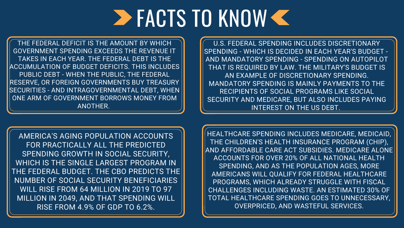### **EXCTS TO KNOW C**

THE FEDERAL DEFICIT IS THE AMOUNT BY WHICH GOVERNMENT SPENDING EXCEEDS THE REVENUE IT TAKES IN EACH YEAR. THE FEDERAL DEBT IS THE ACCUMULATION OF BUDGET DEFICITS. THIS INCLUDES PUBLIC DEBT - WHEN THE PUBLIC, THE FEDERAL RESERVE, OR FOREIGN GOVERNMENTS BUY TREASURY SECURITIES - AND INTRAGOVERNMENTAL DEBT, WHEN ONE ARM OF GOVERNMENT BORROWS MONEY FROM ANOTHER.

U.S. FEDERAL SPENDING INCLUDES DISCRETIONARY SPENDING - WHICH IS DECIDED IN EACH YEAR'S BUDGET - AND MANDATORY SPENDING - SPENDING ON AUTOPILOT THAT IS REQUIRED BY LAW. THE MILITARY'S BUDGET IS AN EXAMPLE OF DISCRETIONARY SPENDING. MANDATORY SPENDING IS MAINLY PAYMENTS TO THE RECIPIENTS OF SOCIAL PROGRAMS LIKE SOCIAL SECURITY AND MEDICARE, BUT ALSO INCLUDES PAYING INTEREST ON THE US DEBT.

HEALTHCARE SPENDING INCLUDES MEDICARE, MEDICAID, THE CHILDREN'S HEALTH INSURANCE PROGRAM (CHIP), AND AFFORDABLE CARE ACT SUBSIDIES. MEDICARE ALONE ACCOUNTS FOR OVER 20% OF ALL NATIONAL HEALTH SPENDING, AND AS THE POPULATION AGES, MORE AMERICANS WILL QUALIFY FOR FEDERAL HEALTHCARE PROGRAMS, WHICH ALREADY STRUGGLE WITH FISCAL CHALLENGES INCLUDING WASTE. AN ESTIMATED 30% OF TOTAL HEALTHCARE SPENDING GOES TO UNNECESSARY, OVERPRICED, AND WASTEFUL SERVICES.



AMERICA'S AGING POPULATION ACCOUNTS FOR PRACTICALLY ALL THE PREDICTED SPENDING GROWTH IN SOCIAL SECURITY, WHICH IS THE SINGLE LARGEST PROGRAM IN THE FEDERAL BUDGET. THE CBO PREDICTS THE NUMBER OF SOCIAL SECURITY BENEFICIARIES WILL RISE FROM 64 MILLION IN 2019 TO 97 MILLION IN 2049, AND THAT SPENDING WILL RISE FROM 4.9% OF GDP TO 6.2%.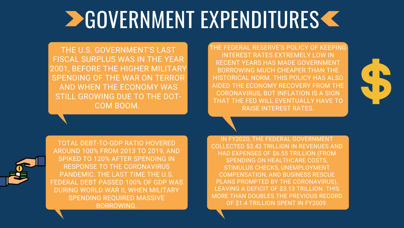THE FEDERAL RESERVE'S POLICY OF KEEPING INTEREST RATES EXTREMELY LOW IN RECENT YEARS HAS MADE GOVERNMENT BORROWING MUCH CHEAPER THAN THE HISTORICAL NORM. THIS POLICY HAS ALSO AIDED THE ECONOMY RECOVERY FROM THE CORONAVIRUS, BUT INFLATION IS A SIGN THAT THE FED WILL EVENTUALLY HAVE TO RAISE INTEREST RATES.



### **DEOVERNMENT EXPENDITURES <**

THE U.S. GOVERNMENT'S LAST FISCAL SURPLUS WAS IN THE YEAR 2001, BEFORE THE HIGHER MILITARY SPENDING OF THE WAR ON TERROR AND WHEN THE ECONOMY WAS STILL GROWING DUE TO THE DOT-COM BOOM.

TOTAL DEBT-TO-GDP RATIO HOVERED AROUND 100% FROM 2013 TO 2019, AND SPIKED TO 120% AFTER SPENDING IN RESPONSE TO THE CORONAVIRUS PANDEMIC. THE LAST TIME THE U.S. FEDERAL DEBT PASSED 100% OF GDP WAS DURING WORLD WAR II, WHEN MILITARY SPENDING REQUIRED MASSIVE BORROWING.

IN FY2020, THE FEDERAL GOVERNMENT COLLECTED \$3.42 TRILLION IN REVENUES AND HAD EXPENSES OF \$6.55 TRILLION (FROM SPENDING ON HEALTHCARE COSTS, STIMULUS CHECKS, UNEMPLOYMENT COMPENSATION, AND BUSINESS RESCUE PLANS PROMPTED BY THE CORONAVIRUS), LEAVING A DEFICIT OF \$3.13 TRILLION. THIS MORE THAN DOUBLES THE PREVIOUS RECORD OF \$1.4 TRILLION SPENT IN FY2009.

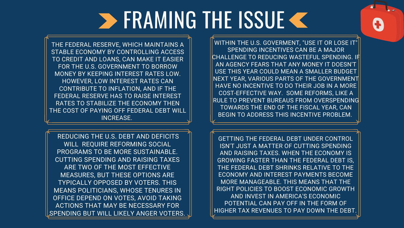REDUCING THE U.S. DEBT AND DEFICITS WILL REQUIRE REFORMING SOCIAL PROGRAMS TO BE MORE SUSTAINABLE. CUTTING SPENDING AND RAISING TAXES ARE TWO OF THE MOST EFFECTIVE MEASURES, BUT THESE OPTIONS ARE TYPICALLY OPPOSED BY VOTERS. THIS MEANS POLITICIANS, WHOSE TENURES IN OFFICE DEPEND ON VOTES, AVOID TAKING ACTIONS THAT MAY BE NECESSARY FOR SPENDING BUT WILL LIKELY ANGER VOTERS.

WITHIN THE U.S. GOVERMENT, "USE IT OR LOSE IT"|| SPENDING INCENTIVES CAN BE A MAJOR CHALLENGE TO REDUCING WASTEFUL SPENDING. IF AN AGENCY FEARS THAT ANY MONEY IT DOESN'T USE THIS YEAR COULD MEAN A SMALLER BUDGET NEXT YEAR, VARIOUS PARTS OF THE GOVERNMENT HAVE NO INCENTIVE TO DO THEIR JOB IN A MORE COST-EFFECTIVE WAY. SOME REFORMS, LIKE A RULE TO PREVENT BUREAUS FROM OVERSPENDING TOWARDS THE END OF THE FISCAL YEAR, CAN BEGIN TO ADDRESS THIS INCENTIVE PROBLEM.

GETTING THE FEDERAL DEBT UNDER CONTROL ISN'T JUST A MATTER OF CUTTING SPENDING AND RAISING TAXES. WHEN THE ECONOMY IS GROWING FASTER THAN THE FEDERAL DEBT IS, THE FEDERAL DEBT SHRINKS RELATIVE TO THE ECONOMY AND INTEREST PAYMENTS BECOME MORE MANAGEABLE. THIS MEANS THAT THE RIGHT POLICIES TO BOOST ECONOMIC GROWTH AND INVEST IN AMERICA'S ECONOMIC POTENTIAL CAN PAY OFF IN THE FORM OF HIGHER TAX REVENUES TO PAY DOWN THE DEBT.



## **SERAMING THE ISSUE K**

THE FEDERAL RESERVE, WHICH MAINTAINS A STABLE ECONOMY BY CONTROLLING ACCESS TO CREDIT AND LOANS, CAN MAKE IT EASIER FOR THE U.S. GOVERNMENT TO BORROW MONEY BY KEEPING INTEREST RATES LOW. HOWEVER, LOW INTEREST RATES CAN CONTRIBUTE TO INFLATION, AND IF THE FEDERAL RESERVE HAS TO RAISE INTEREST RATES TO STABILIZE THE ECONOMY THEN THE COST OF PAYING OFF FEDERAL DEBT WILL INCREASE.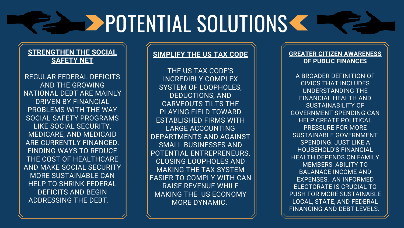### **SIMPLIFY THE US TAX CODE**

THE US TAX CODE'S INCREDIBLY COMPLEX SYSTEM OF LOOPHOLES, DEDUCTIONS, AND CARVEOUTS TILTS THE PLAYING FIELD TOWARD ESTABLISHED FIRMS WITH LARGE ACCOUNTING DEPARTMENTS AND AGAINST SMALL BUSINESSES AND POTENTIAL ENTREPRENEURS. CLOSING LOOPHOLES AND MAKING THE TAX SYSTEM EASIER TO COMPLY WITH CAN RAISE REVENUE WHILE MAKING THE US ECONOMY MORE DYNAMIC.

# **POTENTIAL SOLUTIONS CONDENSERVER**

### **STRENGTHEN THE SOCIAL SAFETY NET**

REGULAR FEDERAL DEFICITS AND THE GROWING NATIONAL DEBT ARE MAINLY DRIVEN BY FINANCIAL PROBLEMS WITH THE WAY SOCIAL SAFETY PROGRAMS LIKE SOCIAL SECURITY, MEDICARE, AND MEDICAID ARE CURRENTLY FINANCED. FINDING WAYS TO REDUCE THE COST OF HEALTHCARE AND MAKE SOCIAL SECURITY MORE SUSTAINABLE CAN HELP TO SHRINK FEDERAL DEFICITS AND BEGIN ADDRESSING THE DEBT.

#### **GREATER CITIZEN AWARENESS OF PUBLIC FINANCES**

A BROADER DEFINITION OF CIVICS THAT INCLUDES UNDERSTANDING THE FINANCIAL HEALTH AND SUSTAINABILITY OF GOVERNMENT SPENDING CAN HELP CREATE POLITICAL PRESSURE FOR MORE SUSTAINABLE GOVERNMENT SPENDING. JUST LIKE A HOUSEHOLD'S FINANCIAL HEALTH DEPENDS ON FAMILY MEMBERS' ABILITY TO BALANACE INCOME AND EXPENSES, AN INFORMED ELECTORATE IS CRUCIAL TO PUSH FOR MORE SUSTAINABLE LOCAL, STATE, AND FEDERAL FINANCING AND DEBT LEVELS.